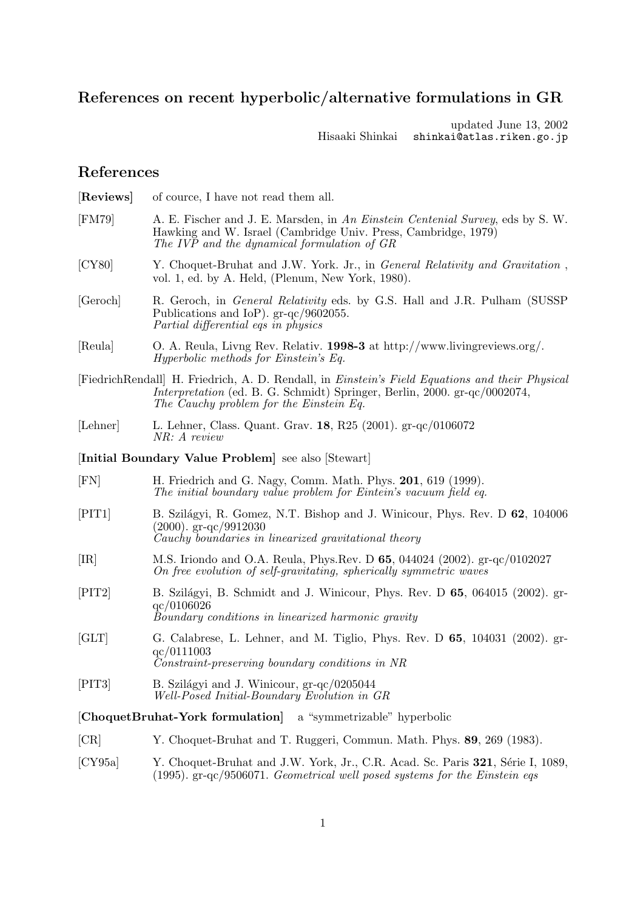# **References on recent hyperbolic/alternative formulations in GR**

updated June 13, 2002 Hisaaki Shinkai shinkai@atlas.riken.go.jp

## **References**

| [Reviews]                                                        | of cource, I have not read them all.                                                                                                                                                                                                |  |  |
|------------------------------------------------------------------|-------------------------------------------------------------------------------------------------------------------------------------------------------------------------------------------------------------------------------------|--|--|
| [FM79]                                                           | A. E. Fischer and J. E. Marsden, in An Einstein Centenial Survey, eds by S. W.<br>Hawking and W. Israel (Cambridge Univ. Press, Cambridge, 1979)<br>The IVP and the dynamical formulation of GR                                     |  |  |
| [CY80]                                                           | Y. Choquet-Bruhat and J.W. York. Jr., in <i>General Relativity and Gravitation</i> ,<br>vol. 1, ed. by A. Held, (Plenum, New York, 1980).                                                                                           |  |  |
| [Geroch]                                                         | R. Geroch, in <i>General Relativity</i> eds. by G.S. Hall and J.R. Pulham (SUSSP<br>Publications and IoP). $gr-qc/9602055$ .<br>Partial differential eqs in physics                                                                 |  |  |
| [Reula]                                                          | O. A. Reula, Livng Rev. Relativ. 1998-3 at http://www.livingreviews.org/.<br><i>Hyperbolic methods for Einstein's Eq.</i>                                                                                                           |  |  |
|                                                                  | FiedrichRendall H. Friedrich, A. D. Rendall, in <i>Einstein's Field Equations and their Physical</i><br><i>Interpretation</i> (ed. B. G. Schmidt) Springer, Berlin, 2000. gr-qc/0002074,<br>The Cauchy problem for the Einstein Eq. |  |  |
| [Lehner]                                                         | L. Lehner, Class. Quant. Grav. 18, R25 (2001). gr-qc/0106072<br>NR: A review                                                                                                                                                        |  |  |
|                                                                  | [Initial Boundary Value Problem] see also [Stewart]                                                                                                                                                                                 |  |  |
| [FN]                                                             | H. Friedrich and G. Nagy, Comm. Math. Phys. 201, 619 (1999).<br>The initial boundary value problem for Eintein's vacuum field eq.                                                                                                   |  |  |
| [PIT1]                                                           | B. Szilágyi, R. Gomez, N.T. Bishop and J. Winicour, Phys. Rev. D 62, 104006<br>$(2000)$ . gr-qc/9912030<br>Cauchy boundaries in linearized gravitational theory                                                                     |  |  |
| $[\mathrm{IR}]$                                                  | M.S. Iriondo and O.A. Reula, Phys.Rev. D 65, 044024 (2002). gr-qc/0102027<br>On free evolution of self-gravitating, spherically symmetric waves                                                                                     |  |  |
| [PIT2]                                                           | B. Szilágyi, B. Schmidt and J. Winicour, Phys. Rev. D 65, 064015 (2002). gr-<br>qc/0106026<br>Boundary conditions in linearized harmonic gravity                                                                                    |  |  |
| $\left[{\rm GLT}\right]$                                         | G. Calabrese, L. Lehner, and M. Tiglio, Phys. Rev. D $65$ , 104031 (2002). gr-<br>qc/0111003<br>Constraint-preserving boundary conditions in NR                                                                                     |  |  |
| [PIT3]                                                           | B. Szilágyi and J. Winicour, gr-qc/0205044<br>Well-Posed Initial-Boundary Evolution in GR                                                                                                                                           |  |  |
| [ChoquetBruhat-York formulation]<br>a "symmetrizable" hyperbolic |                                                                                                                                                                                                                                     |  |  |
| [CR]                                                             | Y. Choquet-Bruhat and T. Ruggeri, Commun. Math. Phys. 89, 269 (1983).                                                                                                                                                               |  |  |
| $\left[{\rm CY95a}\right]$                                       | Y. Choquet-Bruhat and J.W. York, Jr., C.R. Acad. Sc. Paris 321, Série I, 1089,                                                                                                                                                      |  |  |

(1995). gr-qc/9506071. Geometrical well posed systems for the Einstein eqs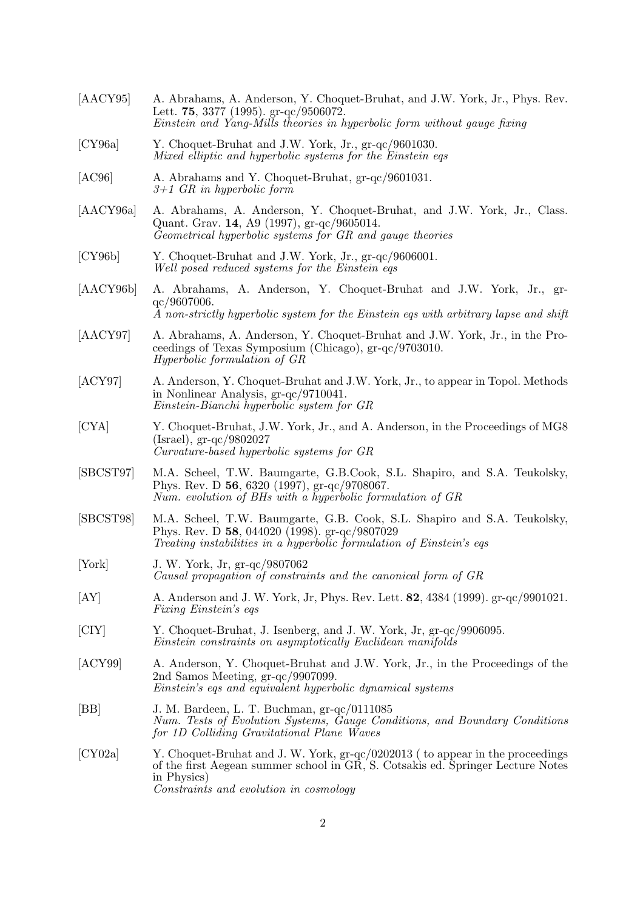| [AACY95]           | A. Abrahams, A. Anderson, Y. Choquet-Bruhat, and J.W. York, Jr., Phys. Rev.<br>Lett. 75, 3377 (1995). gr-qc/9506072.<br>Einstein and Yang-Mills theories in hyperbolic form without gauge fixing                          |
|--------------------|---------------------------------------------------------------------------------------------------------------------------------------------------------------------------------------------------------------------------|
| [CY96a]            | Y. Choquet-Bruhat and J.W. York, Jr., gr-qc/9601030.<br>Mixed elliptic and hyperbolic systems for the Einstein eqs                                                                                                        |
| [AC96]             | A. Abrahams and Y. Choquet-Bruhat, gr-qc/9601031.<br>$3+1$ GR in hyperbolic form                                                                                                                                          |
| [AACY96a]          | A. Abrahams, A. Anderson, Y. Choquet-Bruhat, and J.W. York, Jr., Class.<br>Quant. Grav. 14, A9 (1997), gr-qc/9605014.<br>Geometrical hyperbolic systems for GR and gauge theories                                         |
| [CY96b]            | Y. Choquet-Bruhat and J.W. York, Jr., gr-qc/9606001.<br>Well posed reduced systems for the Einstein eqs                                                                                                                   |
| [AACY96b]          | A. Abrahams, A. Anderson, Y. Choquet-Bruhat and J.W. York, Jr., gr-<br>qc/9607006.<br>A non-strictly hyperbolic system for the Einstein eqs with arbitrary lapse and shift                                                |
| [AACY97]           | A. Abrahams, A. Anderson, Y. Choquet-Bruhat and J.W. York, Jr., in the Pro-<br>ceedings of Texas Symposium (Chicago), gr-qc/9703010.<br><i>Hyperbolic formulation of GR</i>                                               |
| [ACY97]            | A. Anderson, Y. Choquet-Bruhat and J.W. York, Jr., to appear in Topol. Methods<br>in Nonlinear Analysis, gr-qc/9710041.<br>Einstein-Bianchi hyperbolic system for GR                                                      |
| [CYA]              | Y. Choquet-Bruhat, J.W. York, Jr., and A. Anderson, in the Proceedings of MG8<br>$(Israel), gr-qc/9802027$<br>Curvature-based hyperbolic systems for GR                                                                   |
| [SBCST97]          | M.A. Scheel, T.W. Baumgarte, G.B.Cook, S.L. Shapiro, and S.A. Teukolsky,<br>Phys. Rev. D 56, 6320 (1997), $gr-qc/9708067$ .<br>Num. evolution of BHs with a hyperbolic formulation of GR                                  |
| [SBCST98]          | M.A. Scheel, T.W. Baumgarte, G.B. Cook, S.L. Shapiro and S.A. Teukolsky,<br>Phys. Rev. D 58, 044020 (1998). gr-qc/9807029<br>Treating instabilities in a hyperbolic formulation of Einstein's eqs.                        |
| [York]             | J. W. York, Jr., gr-qc/9807062<br>Causal propagation of constraints and the canonical form of GR                                                                                                                          |
| [AY]               | A. Anderson and J. W. York, Jr, Phys. Rev. Lett. 82, 4384 (1999). gr-qc/9901021.<br><i>Fixing Einstein's eqs</i>                                                                                                          |
| [C <sub>IV</sub> ] | Y. Choquet-Bruhat, J. Isenberg, and J. W. York, Jr, gr-qc/9906095.<br>Einstein constraints on asymptotically Euclidean manifolds                                                                                          |
| [ACY99]            | A. Anderson, Y. Choquet-Bruhat and J.W. York, Jr., in the Proceedings of the<br>2nd Samos Meeting, gr-qc/9907099.<br>Einstein's eqs and equivalent hyperbolic dynamical systems                                           |
| BB                 | J. M. Bardeen, L. T. Buchman, gr-qc/0111085<br>Num. Tests of Evolution Systems, Gauge Conditions, and Boundary Conditions<br>for 1D Colliding Gravitational Plane Waves                                                   |
| [CY02a]            | Y. Choquet-Bruhat and J. W. York, gr-qc/0202013 (to appear in the proceedings<br>of the first Aegean summer school in GR, S. Cotsakis ed. Springer Lecture Notes<br>in Physics)<br>Constraints and evolution in cosmology |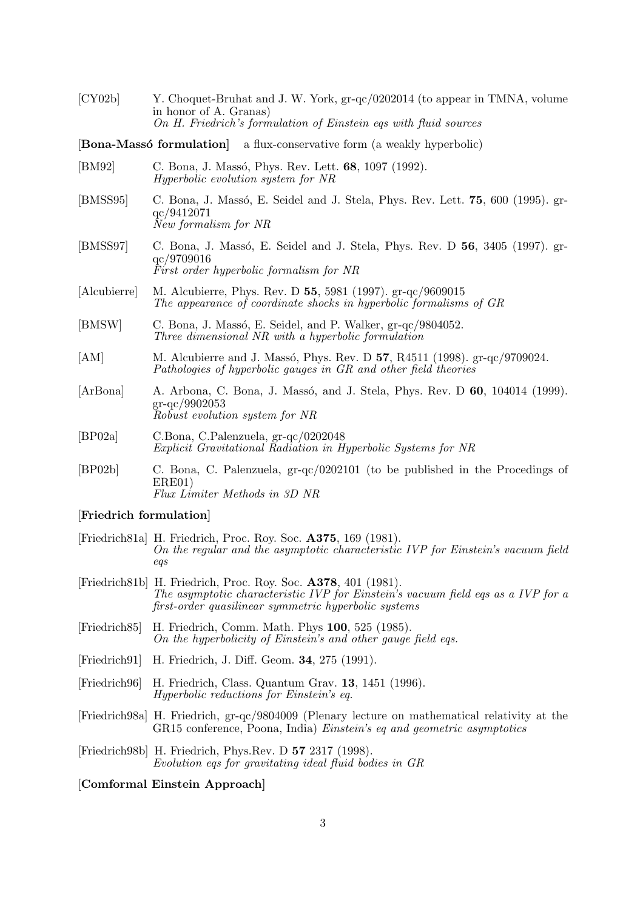[CY02b] Y. Choquet-Bruhat and J. W. York, gr-qc/0202014 (to appear in TMNA, volume in honor of A. Granas) On H. Friedrich's formulation of Einstein eqs with fluid sources

**[Bona-Massó formulation]** a flux-conservative form (a weakly hyperbolic)

- [BM92] C. Bona, J. Mass´o, Phys. Rev. Lett. **68**, 1097 (1992). Hyperbolic evolution system for NR
- [BMSS95] C. Bona, J. Massó, E. Seidel and J. Stela, Phys. Rev. Lett. **75**, 600 (1995). grqc/9412071 New formalism for NR
- [BMSS97] C. Bona, J. Mass´o, E. Seidel and J. Stela, Phys. Rev. D **56**, 3405 (1997). grqc/9709016 First order hyperbolic formalism for NR
- [Alcubierre] M. Alcubierre, Phys. Rev. D **55**, 5981 (1997). gr-qc/9609015 The appearance of coordinate shocks in hyperbolic formalisms of GR
- [BMSW] C. Bona, J. Massó, E. Seidel, and P. Walker, gr-qc/9804052. Three dimensional NR with a hyperbolic formulation
- [AM] M. Alcubierre and J. Mass´o, Phys. Rev. D **57**, R4511 (1998). gr-qc/9709024. Pathologies of hyperbolic gauges in  $GR$  and other field theories
- [ArBona] A. Arbona, C. Bona, J. Massó, and J. Stela, Phys. Rev. D **60**, 104014 (1999). gr-qc/9902053 Robust evolution system for NR
- [BP02a] C.Bona, C.Palenzuela, gr-qc/0202048 Explicit Gravitational Radiation in Hyperbolic Systems for NR
- [BP02b] C. Bona, C. Palenzuela, gr-qc/0202101 (to be published in the Procedings of ERE01) Flux Limiter Methods in 3D NR

#### [**Friedrich formulation]**

- [Friedrich81a] H. Friedrich, Proc. Roy. Soc. **A375**, 169 (1981). On the regular and the asymptotic characteristic IVP for Einstein's vacuum field eqs
- [Friedrich81b] H. Friedrich, Proc. Roy. Soc. **A378**, 401 (1981). The asymptotic characteristic IVP for Einstein's vacuum field eqs as a IVP for a first-order quasilinear symmetric hyperbolic systems
- [Friedrich85] H. Friedrich, Comm. Math. Phys **100**, 525 (1985). On the hyperbolicity of Einstein's and other gauge field eqs.
- [Friedrich91] H. Friedrich, J. Diff. Geom. **34**, 275 (1991).
- [Friedrich96] H. Friedrich, Class. Quantum Grav. **13**, 1451 (1996). Hyperbolic reductions for Einstein's eq.
- [Friedrich98a] H. Friedrich, gr-qc/9804009 (Plenary lecture on mathematical relativity at the GR15 conference, Poona, India) Einstein's eq and geometric asymptotics
- [Friedrich98b] H. Friedrich, Phys.Rev. D **57** 2317 (1998). Evolution eqs for gravitating ideal fluid bodies in GR

### [**Comformal Einstein Approach]**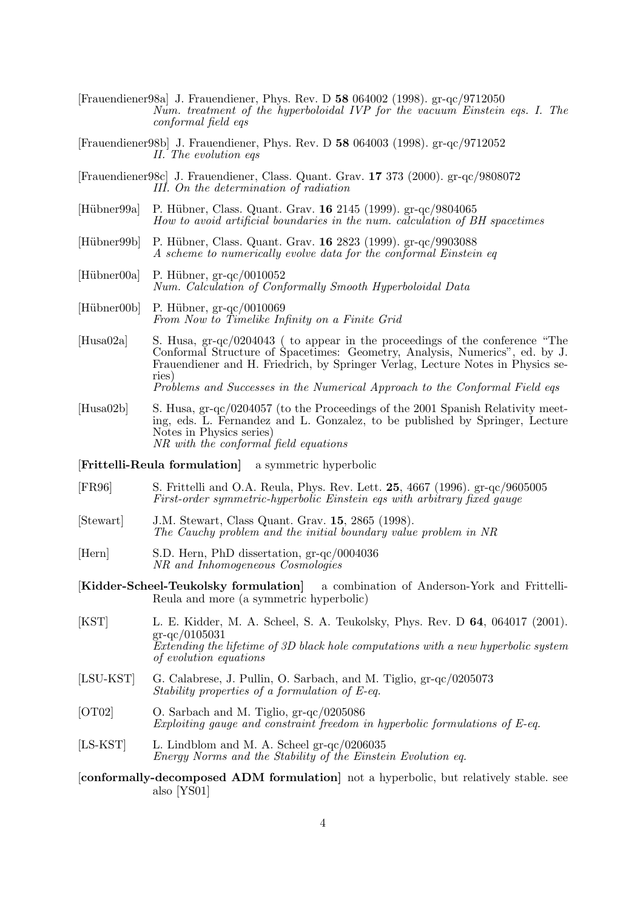- [Frauendiener98a] J. Frauendiener, Phys. Rev. D **58** 064002 (1998). gr-qc/9712050 Num. treatment of the hyperboloidal IVP for the vacuum Einstein eqs. I. The conformal field eqs
- [Frauendiener98b] J. Frauendiener, Phys. Rev. D **58** 064003 (1998). gr-qc/9712052 II. The evolution eqs
- [Frauendiener98c] J. Frauendiener, Class. Quant. Grav. **17** 373 (2000). gr-qc/9808072 III. On the determination of radiation
- [H¨ubner99a] P. H¨ubner, Class. Quant. Grav. **16** 2145 (1999). gr-qc/9804065 How to avoid artificial boundaries in the num. calculation of BH spacetimes
- [Hübner99b] P. Hübner, Class. Quant. Grav. **16** 2823 (1999). gr-qc/9903088 A scheme to numerically evolve data for the conformal Einstein eq
- $[Hübner00a]$  P. Hübner, gr-qc/0010052 Num. Calculation of Conformally Smooth Hyperboloidal Data
- $[Hübner00b]$  P. Hübner, gr-qc/0010069 From Now to Timelike Infinity on a Finite Grid
- [Husa02a] S. Husa, gr-qc/0204043 ( to appear in the proceedings of the conference "The Conformal Structure of Spacetimes: Geometry, Analysis, Numerics", ed. by J. Frauendiener and H. Friedrich, by Springer Verlag, Lecture Notes in Physics series) Problems and Successes in the Numerical Approach to the Conformal Field eqs.
- [Husa02b] S. Husa, gr-qc/0204057 (to the Proceedings of the 2001 Spanish Relativity meeting, eds. L. Fernandez and L. Gonzalez, to be published by Springer, Lecture Notes in Physics series) NR with the conformal field equations
- [**Frittelli-Reula formulation]** a symmetric hyperbolic
- [FR96] S. Frittelli and O.A. Reula, Phys. Rev. Lett. **25**, 4667 (1996). gr-qc/9605005 First-order symmetric-hyperbolic Einstein eqs with arbitrary fixed gauge
- [Stewart] J.M. Stewart, Class Quant. Grav. **15**, 2865 (1998). The Cauchy problem and the initial boundary value problem in NR
- [Hern] S.D. Hern, PhD dissertation, gr-qc/0004036 NR and Inhomogeneous Cosmologies
- [**Kidder-Scheel-Teukolsky formulation]** a combination of Anderson-York and Frittelli-Reula and more (a symmetric hyperbolic)
- [KST] L. E. Kidder, M. A. Scheel, S. A. Teukolsky, Phys. Rev. D **64**, 064017 (2001). gr-qc/0105031 Extending the lifetime of 3D black hole computations with a new hyperbolic system of evolution equations
- [LSU-KST] G. Calabrese, J. Pullin, O. Sarbach, and M. Tiglio, gr-qc/0205073 Stability properties of a formulation of E-eq.
- [OT02] O. Sarbach and M. Tiglio, gr-qc/0205086 Exploiting gauge and constraint freedom in hyperbolic formulations of E-eq.
- [LS-KST] L. Lindblom and M. A. Scheel gr-qc/0206035 Energy Norms and the Stability of the Einstein Evolution eq.
- [**conformally-decomposed ADM formulation]** not a hyperbolic, but relatively stable. see also [YS01]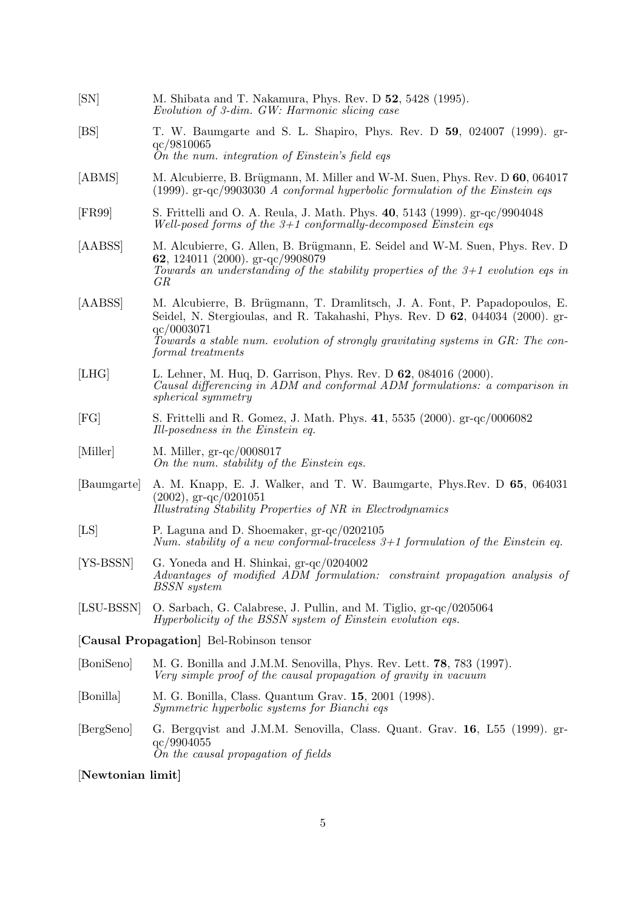| SN                | M. Shibata and T. Nakamura, Phys. Rev. D 52, 5428 (1995).<br>Evolution of 3-dim. GW: Harmonic slicing case                                                                                                                                                                        |
|-------------------|-----------------------------------------------------------------------------------------------------------------------------------------------------------------------------------------------------------------------------------------------------------------------------------|
| [BS]              | T. W. Baumgarte and S. L. Shapiro, Phys. Rev. D 59, 024007 (1999). gr-<br>qc/9810065<br>On the num. integration of Einstein's field eqs                                                                                                                                           |
| [ABMS]            | M. Alcubierre, B. Brügmann, M. Miller and W-M. Suen, Phys. Rev. D 60, 064017<br>(1999). $gr-qc/9903030$ A conformal hyperbolic formulation of the Einstein eqs                                                                                                                    |
| [FR99]            | S. Frittelli and O. A. Reula, J. Math. Phys. 40, 5143 (1999). gr-qc/9904048<br>Well-posed forms of the $3+1$ conformally-decomposed Einstein eqs                                                                                                                                  |
| [AABSS]           | M. Alcubierre, G. Allen, B. Brügmann, E. Seidel and W-M. Suen, Phys. Rev. D<br>62, 124011 (2000). $gr-qc/9908079$<br>Towards an understanding of the stability properties of the $3+1$ evolution eqs in<br>GR                                                                     |
| [AABSS]           | M. Alcubierre, B. Brügmann, T. Dramlitsch, J. A. Font, P. Papadopoulos, E.<br>Seidel, N. Stergioulas, and R. Takahashi, Phys. Rev. D 62, 044034 (2000). gr-<br>qc/0003071<br>Towards a stable num. evolution of strongly gravitating systems in GR: The con-<br>formal treatments |
| [LHG]             | L. Lehner, M. Huq, D. Garrison, Phys. Rev. D 62, 084016 (2000).<br>Causal differencing in ADM and conformal ADM formulations: a comparison in<br><i>spherical symmetry</i>                                                                                                        |
| [FG]              | S. Frittelli and R. Gomez, J. Math. Phys. 41, 5535 (2000). gr-qc/0006082<br>Ill-posedness in the Einstein eq.                                                                                                                                                                     |
| [Miller]          | M. Miller, $gr-qc/0008017$<br>On the num. stability of the Einstein eqs.                                                                                                                                                                                                          |
| [Baumgarte]       | A. M. Knapp, E. J. Walker, and T. W. Baumgarte, Phys. Rev. D 65, 064031<br>$(2002)$ , gr-qc/0201051<br>Illustrating Stability Properties of NR in Electrodynamics                                                                                                                 |
| [LS]              | P. Laguna and D. Shoemaker, $gr-qc/0202105$<br>Num. stability of a new conformal-traceless $3+1$ formulation of the Einstein eq.                                                                                                                                                  |
| $[YS-BSSN]$       | G. Yoneda and H. Shinkai, gr-qc/0204002<br>Advantages of modified ADM formulation: constraint propagation analysis of<br><b>BSSN</b> system                                                                                                                                       |
| [LSU-BSSN]        | O. Sarbach, G. Calabrese, J. Pullin, and M. Tiglio, gr-qc/0205064<br><i>Hyperbolicity of the BSSN system of Einstein evolution eqs.</i>                                                                                                                                           |
|                   | [Causal Propagation] Bel-Robinson tensor                                                                                                                                                                                                                                          |
| [BoniSeno]        | M. G. Bonilla and J.M.M. Senovilla, Phys. Rev. Lett. <b>78</b> , 783 (1997).<br>Very simple proof of the causal propagation of gravity in vacuum                                                                                                                                  |
| [Bonilla]         | M. G. Bonilla, Class. Quantum Grav. 15, 2001 (1998).<br><i>Symmetric hyperbolic systems for Bianchi eqs</i>                                                                                                                                                                       |
| [BergSeno]        | G. Bergqvist and J.M.M. Senovilla, Class. Quant. Grav. 16, L55 (1999). gr-<br>qc/9904055<br>On the causal propagation of fields                                                                                                                                                   |
| [Newtonian limit] |                                                                                                                                                                                                                                                                                   |

### 5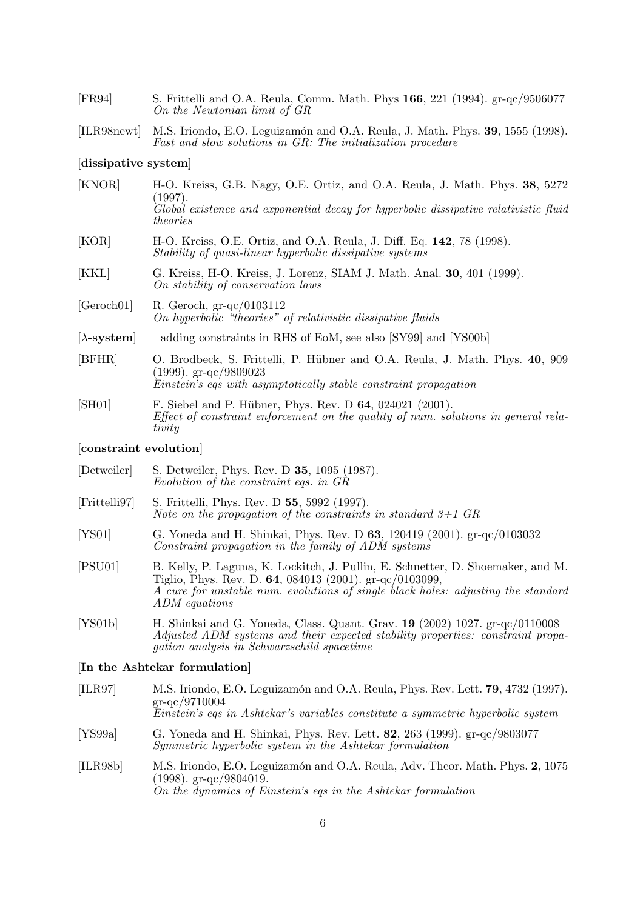| [FR94]                    | S. Frittelli and O.A. Reula, Comm. Math. Phys 166, 221 (1994). gr-qc/9506077<br>On the Newtonian limit of GR                                                                                      |
|---------------------------|---------------------------------------------------------------------------------------------------------------------------------------------------------------------------------------------------|
| [ILR98newt]               | M.S. Iriondo, E.O. Leguizamón and O.A. Reula, J. Math. Phys. 39, 1555 (1998).<br>Fast and slow solutions in GR: The initialization procedure                                                      |
| dissipative system        |                                                                                                                                                                                                   |
| [KNOR]                    | H-O. Kreiss, G.B. Nagy, O.E. Ortiz, and O.A. Reula, J. Math. Phys. 38, 5272<br>(1997).<br>Global existence and exponential decay for hyperbolic dissipative relativistic fluid<br><i>theories</i> |
| [KOR]                     | H-O. Kreiss, O.E. Ortiz, and O.A. Reula, J. Diff. Eq. 142, 78 (1998).<br>Stability of quasi-linear hyperbolic dissipative systems                                                                 |
| [KKL]                     | G. Kreiss, H-O. Kreiss, J. Lorenz, SIAM J. Math. Anal. 30, 401 (1999).<br>On stability of conservation laws                                                                                       |
| [Geroch01]                | R. Geroch, $gr-qc/0103112$<br>On hyperbolic "theories" of relativistic dissipative fluids                                                                                                         |
| $[\lambda\text{-system}]$ | adding constraints in RHS of EoM, see also [SY99] and [YS00b]                                                                                                                                     |
|                           |                                                                                                                                                                                                   |

- [BFHR] O. Brodbeck, S. Frittelli, P. Hübner and O.A. Reula, J. Math. Phys. **40**, 909 (1999). gr-qc/9809023 Einstein's eqs with asymptotically stable constraint propagation
- [SH01] F. Siebel and P. Hübner, Phys. Rev. D **64**, 024021 (2001). Effect of constraint enforcement on the quality of num. solutions in general relativity

#### [**constraint evolution]**

- [Detweiler] S. Detweiler, Phys. Rev. D **35**, 1095 (1987). Evolution of the constraint eqs. in GR
- [Frittelli97] S. Frittelli, Phys. Rev. D **55**, 5992 (1997). Note on the propagation of the constraints in standard  $3+1$  GR
- [YS01] G. Yoneda and H. Shinkai, Phys. Rev. D **63**, 120419 (2001). gr-qc/0103032 Constraint propagation in the family of ADM systems
- [PSU01] B. Kelly, P. Laguna, K. Lockitch, J. Pullin, E. Schnetter, D. Shoemaker, and M. Tiglio, Phys. Rev. D. **64**, 084013 (2001). gr-qc/0103099, A cure for unstable num. evolutions of single black holes: adjusting the standard ADM equations
- [YS01b] H. Shinkai and G. Yoneda, Class. Quant. Grav. **19** (2002) 1027. gr-qc/0110008 Adjusted ADM systems and their expected stability properties: constraint propagation analysis in Schwarzschild spacetime

### [**In the Ashtekar formulation]**

| [ILR97]  | M.S. Iriondo, E.O. Leguizamón and O.A. Reula, Phys. Rev. Lett. 79, 4732 (1997).<br>$gr-qc/9710004$<br>Einstein's eqs in Ashtekar's variables constitute a symmetric hyperbolic system |
|----------|---------------------------------------------------------------------------------------------------------------------------------------------------------------------------------------|
| [YS99a]  | G. Yoneda and H. Shinkai, Phys. Rev. Lett. 82, 263 (1999). gr-qc/9803077<br>Symmetric hyperbolic system in the Ashtekar formulation                                                   |
| [ILR98b] | M.S. Iriondo, E.O. Leguizamón and O.A. Reula, Adv. Theor. Math. Phys. 2, 1075<br>$(1998)$ . gr-qc/9804019.<br>On the dynamics of Einstein's eqs in the Ashtekar formulation           |